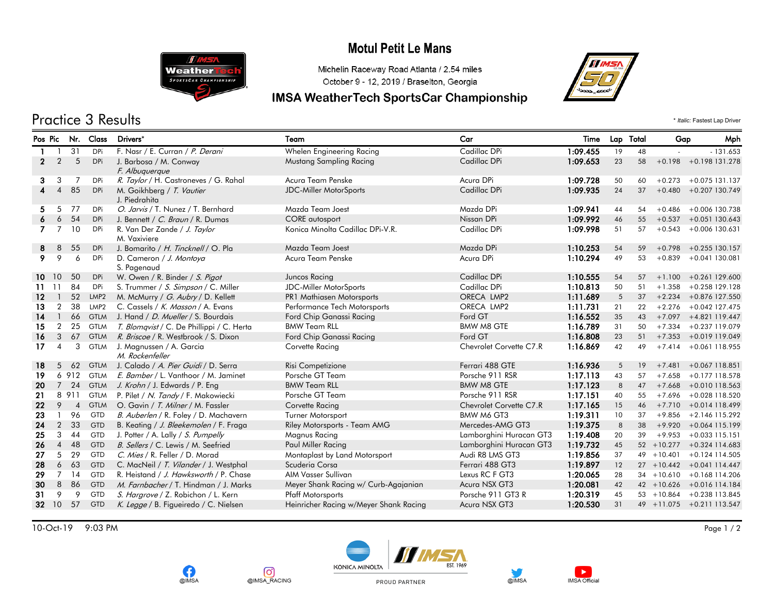# **Motul Petit Le Mans**



**CR** 

ര്

@IMSA\_RACING

#### Michelin Raceway Road Atlanta / 2.54 miles October 9 - 12, 2019 / Braselton, Georgia

## IMSA WeatherTech SportsCar Championship



Practice 3 Results \* *Italic:* Fastest Lap Driver

| Pos Pic         |                | Nr.            | <b>Class</b>     | Drivers*                                     | Team                                   | Car                     | Time     |    | Lap Total | Gap           | Mph                          |  |
|-----------------|----------------|----------------|------------------|----------------------------------------------|----------------------------------------|-------------------------|----------|----|-----------|---------------|------------------------------|--|
|                 |                | 31             | DPi              | F. Nasr / E. Curran / P. Derani              | Whelen Engineering Racing              | Cadillac DPi            | 1:09.455 | 19 | 48        |               | $-131.653$                   |  |
| $\mathbf{2}$    | 2              | 5              | <b>DPi</b>       | J. Barbosa / M. Conway                       | <b>Mustang Sampling Racing</b>         | Cadillac DPi            | 1:09.653 | 23 | 58        | $+0.198$      | +0.198 131.278               |  |
|                 |                |                |                  | F. Albuguergue                               |                                        |                         |          |    |           |               |                              |  |
| 3.              | 3              | 7              | <b>DPi</b>       | R. Taylor / H. Castroneves / G. Rahal        | Acura Team Penske                      | Acura DPi               | 1:09.728 | 50 | 60        | $+0.273$      | $+0.075$ 131.137             |  |
| $\overline{4}$  | $\overline{4}$ | 85             | <b>DPi</b>       | M. Goikhberg / T. Vautier<br>J. Piedrahita   | <b>JDC-Miller MotorSports</b>          | Cadillac DPi            | 1:09.935 | 24 | 37        | $+0.480$      | +0.207 130.749               |  |
| 5.              | 5              | 77             | DPi              | O. Jarvis / T. Nunez / T. Bernhard           | Mazda Team Joest                       | Mazda DPi               | 1:09.941 | 44 | 54        | $+0.486$      | $+0.006$ 130.738             |  |
| 6               | 6              | 54             | DPi              | J. Bennett / C. Braun / R. Dumas             | <b>CORE</b> autosport                  | Nissan DPi              | 1:09.992 | 46 | 55        | $+0.537$      | $+0.051$ 130.643             |  |
| $\mathbf{7}$    | $\overline{7}$ | 10             | DPi              | R. Van Der Zande / J. Taylor<br>M. Vaxiviere | Konica Minolta Cadillac DPi-V.R.       | Cadillac DPi            | 1:09.998 | 51 | 57        | $+0.543$      | $+0.006$ 130.631             |  |
| 8               | 8              | 55             | <b>DPi</b>       | J. Bomarito / H. Tincknell / O. Pla          | Mazda Team Joest                       | Mazda DPi               | 1:10.253 | 54 | 59        | $+0.798$      | $+0.255$ 130.157             |  |
| 9.              | 9              | 6              | DPi              | D. Cameron / J. Montoya<br>S. Pagenaud       | Acura Team Penske                      | Acura DPi               | 1:10.294 | 49 | 53        | $+0.839$      | $+0.041$ 130.081             |  |
|                 | 10 10          | 50             | DPi              | W. Owen / R. Binder / S. Pigot               | Juncos Racing                          | Cadillac DPi            | 1:10.555 | 54 | 57        | $+1.100$      | $+0.261$ 129.600             |  |
| 11              | -11            | 84             | <b>DPi</b>       | S. Trummer / S. Simpson / C. Miller          | JDC-Miller MotorSports                 | Cadillac DPi            | 1:10.813 | 50 | 51        | $+1.358$      | $+0.258$ 129.128             |  |
| 12              |                | 52             | LMP <sub>2</sub> | M. McMurry / G. Aubry / D. Kellett           | PR1 Mathiasen Motorsports              | ORECA LMP2              | 1:11.689 | 5  | 37        | $+2.234$      | +0.876 127.550               |  |
| 13              | $\overline{2}$ | 38             | LMP <sub>2</sub> | C. Cassels / K. Masson / A. Evans            | Performance Tech Motorsports           | ORECA LMP2              | 1:11.731 | 21 | 22        | $+2.276$      | $+0.042$ 127.475             |  |
| 14              |                | 66             | <b>GTLM</b>      | J. Hand / <i>D. Mueller</i> / S. Bourdais    | Ford Chip Ganassi Racing               | Ford GT                 | 1:16.552 | 35 | 43        | $+7.097$      | +4.821 119.447               |  |
| 15              | $\overline{2}$ | 25             | <b>GTLM</b>      | T. Blomqvist / C. De Phillippi / C. Herta    | <b>BMW Team RLL</b>                    | <b>BMW M8 GTE</b>       | 1:16.789 | 31 | 50        | $+7.334$      | +0.237 119.079               |  |
| 16              | 3              | 67             | <b>GTLM</b>      | R. Briscoe / R. Westbrook / S. Dixon         | Ford Chip Ganassi Racing               | Ford GT                 | 1:16.808 | 23 | 51        |               | $+7.353 + 0.019$ 119.049     |  |
| 17 <sup>7</sup> | $\overline{4}$ | 3              | <b>GTLM</b>      | J. Magnussen / A. Garcia<br>M. Rockenfeller  | Corvette Racing                        | Chevrolet Corvette C7.R | 1:16.869 | 42 | 49        |               | $+7.414 + 0.061118.955$      |  |
| 18              | 5              | 62             | <b>GTLM</b>      | J. Calado / <i>A. Pier Guidi</i> / D. Serra  | Risi Competizione                      | Ferrari 488 GTE         | 1:16.936 | 5  | 19        | $+7.481$      | +0.067 118.851               |  |
| 19              |                |                | 6 912 GTLM       | E. Bamber / L. Vanthoor / M. Jaminet         | Porsche GT Team                        | Porsche 911 RSR         | 1:17.113 | 43 | 57        | $+7.658$      | $+0.177$ 118.578             |  |
| 20              | $\overline{7}$ | 24             | <b>GTLM</b>      | J. Krohn / J. Edwards / P. Eng               | <b>BMW Team RLL</b>                    | <b>BMW M8 GTE</b>       | 1:17.123 | 8  | 47        | $+7.668$      | +0.010 118.563               |  |
| 21              |                | 8 9 1 1        | <b>GTLM</b>      | P. Pilet / N. Tandy / F. Makowiecki          | Porsche GT Team                        | Porsche 911 RSR         | 1:17.151 | 40 | 55        | $+7.696$      | +0.028 118.520               |  |
| 22              | 9              | $\overline{4}$ | <b>GTLM</b>      | O. Gavin / T. Milner / M. Fassler            | Corvette Racing                        | Chevrolet Corvette C7.R | 1:17.165 | 15 | 46        | $+7.710$      | $+0.014$ 118.499             |  |
| 23              |                | 96             | <b>GTD</b>       | B. Auberlen / R. Foley / D. Machavern        | Turner Motorsport                      | BMW M6 GT3              | 1:19.311 | 10 | 37        | $+9.856$      | $+2.146$ 115.292             |  |
| 24              | $\overline{2}$ | 33             | <b>GTD</b>       | B. Keating / J. Bleekemolen / F. Fraga       | Riley Motorsports - Team AMG           | Mercedes-AMG GT3        | 1:19.375 | 8  | 38        | $+9.920$      | +0.064 115.199               |  |
| 25              | 3              | 44             | <b>GTD</b>       | J. Potter / A. Lally / S. Pumpelly           | Magnus Racing                          | Lamborghini Huracan GT3 | 1:19.408 | 20 | 39        | $+9.953$      | $+0.033$ 115.151             |  |
| 26              | $\overline{4}$ | 48             | <b>GTD</b>       | B. Sellers / C. Lewis / M. Seefried          | Paul Miller Racing                     | Lamborghini Huracan GT3 | 1:19.732 | 45 |           |               | 52 +10.277 +0.324 114.683    |  |
| 27              | 5              | 29             | GTD              | C. Mies / R. Feller / D. Morad               | Montaplast by Land Motorsport          | Audi R8 LMS GT3         | 1:19.856 | 37 |           |               | 49 + 10.401 + 0.124 114.505  |  |
| 28              | 6              | 63             | <b>GTD</b>       | C. MacNeil / T. Vilander / J. Westphal       | Scuderia Corsa                         | Ferrari 488 GT3         | 1:19.897 | 12 |           |               | $27 + 10.442 + 0.041114.447$ |  |
| 29              | 7              | 14             | GTD              | R. Heistand / J. Hawksworth / P. Chase       | AIM Vasser Sullivan                    | Lexus RC F GT3          | 1:20.065 | 28 |           | $34 + 10.610$ | +0.168 114.206               |  |
| 30              | 8              | 86             | <b>GTD</b>       | M. Farnbacher / T. Hindman / J. Marks        | Meyer Shank Racing w/ Curb-Agajanian   | Acura NSX GT3           | 1:20.081 | 42 |           | $42 + 10.626$ | +0.016 114.184               |  |
| 31              | 9              | 9              | GTD              | S. Hargrove / Z. Robichon / L. Kern          | <b>Pfaff Motorsports</b>               | Porsche 911 GT3 R       | 1:20.319 | 45 |           | $53 + 10.864$ | +0.238 113.845               |  |
|                 |                | 32 10 57       | <b>GTD</b>       | K. Legge / B. Figueiredo / C. Nielsen        | Heinricher Racing w/Meyer Shank Racing | Acura NSX GT3           | 1:20.530 | 31 |           |               | 49 +11.075 +0.211 113.547    |  |

10-Oct-19 9:03 PM Page 1 / 2